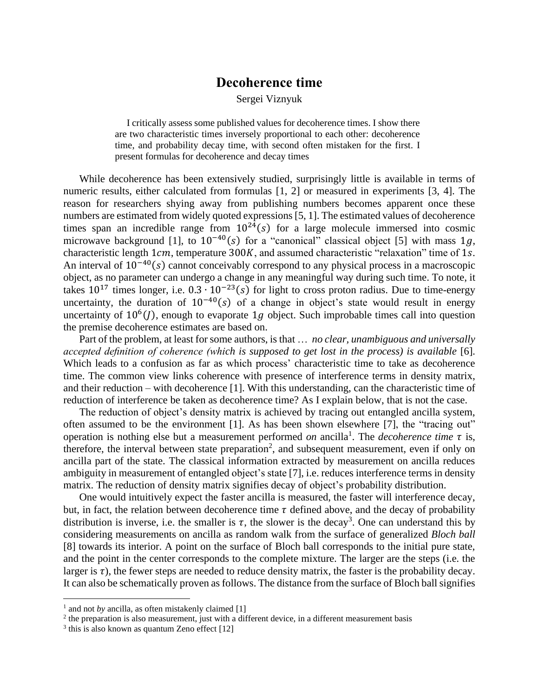## **Decoherence time**

Sergei Viznyuk

I critically assess some published values for decoherence times. I show there are two characteristic times inversely proportional to each other: decoherence time, and probability decay time, with second often mistaken for the first. I present formulas for decoherence and decay times

While decoherence has been extensively studied, surprisingly little is available in terms of numeric results, either calculated from formulas [1, 2] or measured in experiments [3, 4]. The reason for researchers shying away from publishing numbers becomes apparent once these numbers are estimated from widely quoted expressions [5, 1]. The estimated values of decoherence times span an incredible range from  $10^{24}(s)$  for a large molecule immersed into cosmic microwave background [1], to  $10^{-40}(s)$  for a "canonical" classical object [5] with mass 1q, characteristic length  $1cm$ , temperature 300K, and assumed characteristic "relaxation" time of 1s. An interval of  $10^{-40}(s)$  cannot conceivably correspond to any physical process in a macroscopic object, as no parameter can undergo a change in any meaningful way during such time. To note, it takes  $10^{17}$  times longer, i.e.  $0.3 \cdot 10^{-23}$ (s) for light to cross proton radius. Due to time-energy uncertainty, the duration of  $10^{-40}(s)$  of a change in object's state would result in energy uncertainty of  $10^6$ (*J*), enough to evaporate 1*g* object. Such improbable times call into question the premise decoherence estimates are based on.

Part of the problem, at least for some authors, is that … *no clear, unambiguous and universally accepted definition of coherence (which is supposed to get lost in the process) is available* [6]. Which leads to a confusion as far as which process' characteristic time to take as decoherence time. The common view links coherence with presence of interference terms in density matrix, and their reduction – with decoherence [1]. With this understanding, can the characteristic time of reduction of interference be taken as decoherence time? As I explain below, that is not the case.

The reduction of object's density matrix is achieved by tracing out entangled ancilla system, often assumed to be the environment [1]. As has been shown elsewhere [7], the "tracing out" operation is nothing else but a measurement performed *on* ancilla<sup>1</sup>. The *decoherence time*  $\tau$  is, therefore, the interval between state preparation<sup>2</sup>, and subsequent measurement, even if only on ancilla part of the state. The classical information extracted by measurement on ancilla reduces ambiguity in measurement of entangled object's state [7], i.e. reduces interference terms in density matrix. The reduction of density matrix signifies decay of object's probability distribution.

One would intuitively expect the faster ancilla is measured, the faster will interference decay, but, in fact, the relation between decoherence time  $\tau$  defined above, and the decay of probability distribution is inverse, i.e. the smaller is  $\tau$ , the slower is the decay<sup>3</sup>. One can understand this by considering measurements on ancilla as random walk from the surface of generalized *Bloch ball* [8] towards its interior. A point on the surface of Bloch ball corresponds to the initial pure state, and the point in the center corresponds to the complete mixture. The larger are the steps (i.e. the larger is  $\tau$ ), the fewer steps are needed to reduce density matrix, the faster is the probability decay. It can also be schematically proven as follows. The distance from the surface of Bloch ball signifies

<sup>&</sup>lt;sup>1</sup> and not *by* ancilla, as often mistakenly claimed [1]

 $2$ <sup>2</sup> the preparation is also measurement, just with a different device, in a different measurement basis

<sup>&</sup>lt;sup>3</sup> this is also known as quantum Zeno effect [12]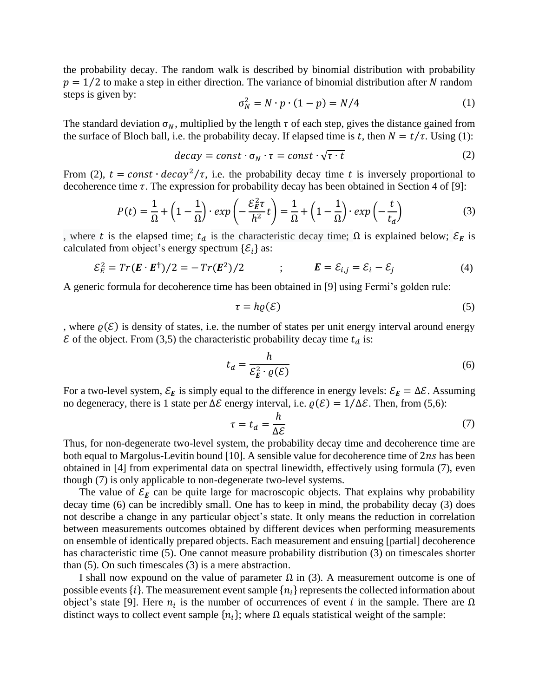the probability decay. The random walk is described by binomial distribution with probability  $p = 1/2$  to make a step in either direction. The variance of binomial distribution after N random steps is given by:

$$
\sigma_N^2 = N \cdot p \cdot (1 - p) = N/4 \tag{1}
$$

The standard deviation  $\sigma_N$ , multiplied by the length  $\tau$  of each step, gives the distance gained from the surface of Bloch ball, i.e. the probability decay. If elapsed time is t, then  $N = t/\tau$ . Using (1):

$$
decay = const \cdot \sigma_N \cdot \tau = const \cdot \sqrt{\tau \cdot t}
$$
 (2)

From (2),  $t = const \cdot decay^2/\tau$ , i.e. the probability decay time t is inversely proportional to decoherence time  $\tau$ . The expression for probability decay has been obtained in Section 4 of [9]:

$$
P(t) = \frac{1}{\Omega} + \left(1 - \frac{1}{\Omega}\right) \cdot \exp\left(-\frac{\mathcal{E}_E^2 \tau}{h^2} t\right) = \frac{1}{\Omega} + \left(1 - \frac{1}{\Omega}\right) \cdot \exp\left(-\frac{t}{t_d}\right) \tag{3}
$$

, where t is the elapsed time;  $t_d$  is the characteristic decay time;  $\Omega$  is explained below;  $\mathcal{E}_E$  is calculated from object's energy spectrum  $\{\mathcal{E}_i\}$  as:

$$
\mathcal{E}_E^2 = Tr(\mathbf{E} \cdot \mathbf{E}^\dagger)/2 = -Tr(\mathbf{E}^2)/2 \qquad ; \qquad \mathbf{E} = \mathcal{E}_{i,j} = \mathcal{E}_i - \mathcal{E}_j \tag{4}
$$

A generic formula for decoherence time has been obtained in [9] using Fermi's golden rule:

$$
\tau = h\varrho(\mathcal{E})\tag{5}
$$

, where  $\rho(\mathcal{E})$  is density of states, i.e. the number of states per unit energy interval around energy  $\mathcal E$  of the object. From (3,5) the characteristic probability decay time  $t_d$  is:

$$
t_d = \frac{h}{\mathcal{E}_E^2 \cdot \varrho(\mathcal{E})}
$$
 (6)

For a two-level system,  $\mathcal{E}_E$  is simply equal to the difference in energy levels:  $\mathcal{E}_E = \Delta \mathcal{E}$ . Assuming no degeneracy, there is 1 state per  $\Delta \mathcal{E}$  energy interval, i.e.  $\rho(\mathcal{E}) = 1/\Delta \mathcal{E}$ . Then, from (5,6):

$$
\tau = t_d = \frac{h}{\Delta \mathcal{E}} \tag{7}
$$

Thus, for non-degenerate two-level system, the probability decay time and decoherence time are both equal to Margolus-Levitin bound [10]. A sensible value for decoherence time of  $2ns$  has been obtained in [4] from experimental data on spectral linewidth, effectively using formula (7), even though (7) is only applicable to non-degenerate two-level systems.

The value of  $\mathcal{E}_E$  can be quite large for macroscopic objects. That explains why probability decay time (6) can be incredibly small. One has to keep in mind, the probability decay (3) does not describe a change in any particular object's state. It only means the reduction in correlation between measurements outcomes obtained by different devices when performing measurements on ensemble of identically prepared objects. Each measurement and ensuing [partial] decoherence has characteristic time (5). One cannot measure probability distribution (3) on timescales shorter than (5). On such timescales (3) is a mere abstraction.

I shall now expound on the value of parameter  $\Omega$  in (3). A measurement outcome is one of possible events  $\{i\}$ . The measurement event sample  $\{n_i\}$  represents the collected information about object's state [9]. Here  $n_i$  is the number of occurrences of event *i* in the sample. There are  $\Omega$ distinct ways to collect event sample  $\{n_i\}$ ; where  $\Omega$  equals statistical weight of the sample: